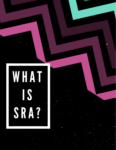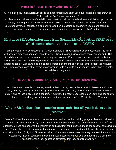## What is Sexual Risk Avoidance (SRA) Education?

SRA is a sex education approach based on a recognized and often used public health model known as "risk avoidance" or "primary prevention."

It differs from a "risk reduction" model in that it seeks to help individuals eliminate all risk as opposed to simply reducing risk. Sexual Risk Reduction (SRR), often called Teen Pregnancy Prevention or "Comprehensive" sex education is primarily focused on increasing contraceptive use among teens. SRR approach normalizes teen sex and is considered a "secondary prevention" strategy.

## How does SRA education difer from Sexual Risk Reduction (SRR) or socalled "comprehensive sex education"(CSE)?

There are vast differences between SRA education and SRR comprehensive sex education. The major distinction is how each approach regards teens. SRA education believes teens can avoid sex and CDC trend data shows, in increasing numbers, they are doing so. Discussions empower teens to make the healthy decision to wait for sex regardless of their previous sexual experience. By contrast, SRR assumes that teens can't or won't avoid sexual experimentation; so the majority of their time is spent talking about sex - using condoms and other forms of contraception with a view to simply reduce, rather than eliminate, sexual risk among teens.

#### Is there evidence that SRA programs are effective?

Yes. There are currently 25 peer-reviewed studies showing that students in SRA classes are: a) more likely to delay sexual initiation, and b) if sexually active, more likely to discontinue or decrease sexual activity and no less likely to use a condom. In addition, the latest CDC research on youth and sex shows that most teens have not had sex - and that percent has improved 28% in the past 20 years.

# Why is SRA education a superior approach that all youth deserve to receive?

Sexual Risk Avoidance education is science-based and focused on helping youth achieve optimal health outcomes. In an increasingly sexualized culture ALL youth, regardless of orientation or past sexual experience, need and deserve the information and skills that can help them make choices that can eliminate risk. Those who promote programs that normalize teen sex as an expected adolescent behavior sell our youth short to the soft bigotry of low expectations. In addition, a recent Barna survey revealed that about 40% of teens say that sex education makes them feel pressured to have sex, contradicting the claim by "comprehensive" sex education advocates that they prioritize "waiting."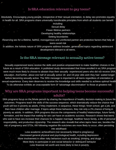### Is SRA education relevant to gay teens?

Absolutely. Encouraging young people, irrespective of their sexual orientation, to delay sex promotes equality in health for all. SRA programs share universally transferable principles from which all students can benefit

> including: ·Sexual delay ·Fewer lifetime partners ·Developing healthy relationships ·Setting boundaries

·Reserving sex for a lifetime, faithful, monogamous and uninfected partner are protective factors that help all teens avoid risk

In addition, the holistic nature of SRA programs address broader, generalized topics regarding adolescent development relevant to all teens.

#### Is the SRA message relevant to sexually active teens?

Sexually experienced teens receive the skills and positive empowerment to make healthier choices in the future as a result of SRA education. A published study demonstrated that those enrolled in an SRA program were much more likely to choose to abstain than their sexually experienced peers who did not receive SRA education. And further, about one half of sexually active 18- and 19-year olds wish they had waited longer before becoming sexually active. The SRA message is important to all teens regardless of orientation or sexual experience. Every teen deserves to receive the knowledge and skills needed to achieve optimal health To do otherwise exhibits an unacceptable form of "advantage discrimination" to those at greatest risk.

## Why are SRA programs important to helping teens become successful adults?

SRA programs focus on the whole person by sharing the importance of healthy decision-making to future life outcomes. Programs teach the skills of the success sequence, which dramatically reduce the chance that youth will live in poverty as adults, if they implement, in sequence, these things: finish school, get a job, and then have children after marriage. If teens adopt these behaviors, they risk only a 2% chance of living in poverty as adults. In addition, SRA programs discuss the components of healthy relationships, future family formation, and the impact that waiting for sex can have on academic success. Research shows that teens who wait to have sex increase their chances for a happier marriage, healthier future family, a life of personal responsibility, and productive citizenship. The research also reveals that when teens have sex, besides the risk of pregnancy and STDs, the following negative life outcomes are more likely to occur, often persisting into adulthood:

> ·Less academic achievement (not necessarily linked to pregnancy) ·Decreased general physical and psychological health, including depression ·More involvement in other risky behaviors such as smoking, drinking, and drugs ·More likely to participate in anti-social behavior or delinquent behavior ·Less financial net worth and more likely to live in poverty